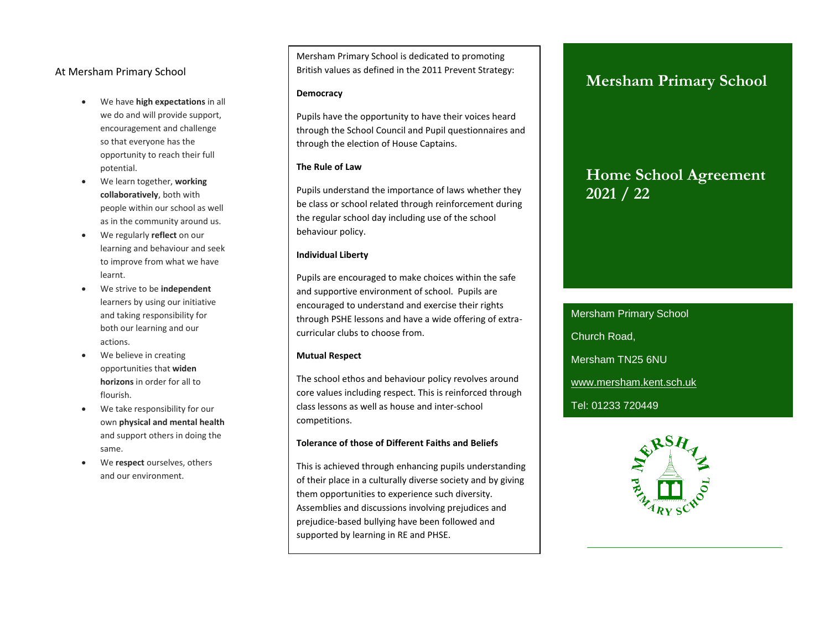### At Mersham Primary School

- We have **high expectations** in all we do and will provide support, encouragement and challenge so that everyone has the opportunity to reach their full potential.
- We learn together, **working collaboratively**, both with people within our school as well as in the community around us.
- We regularly **reflect** on our learning and behaviour and seek to improve from what we have learnt.
- We strive to be **independent**  learners by using our initiative and taking responsibility for both our learning and our actions.
- We believe in creating opportunities that **widen horizons** in order for all to flourish.
- We take responsibility for our own **physical and mental health**  and support others in doing the same.
- We **respect** ourselves, others and our environment.

Mersham Primary School is dedicated to promoting British values as defined in the 2011 Prevent Strategy:

#### **Democracy**

Pupils have the opportunity to have their voices heard through the School Council and Pupil questionnaires and through the election of House Captains.

### **The Rule of Law**

Pupils understand the importance of laws whether they be class or school related through reinforcement during the regular school day including use of the school behaviour policy.

#### **Individual Liberty**

Pupils are encouraged to make choices within the safe and supportive environment of school. Pupils are encouraged to understand and exercise their rights through PSHE lessons and have a wide offering of extracurricular clubs to choose from.

### **Mutual Respect**

The school ethos and behaviour policy revolves around core values including respect. This is reinforced through class lessons as well as house and inter-school competitions.

### **Tolerance of those of Different Faiths and Beliefs**

This is achieved through enhancing pupils understanding of their place in a culturally diverse society and by giving them opportunities to experience such diversity. Assemblies and discussions involving prejudices and prejudice-based bullying have been followed and supported by learning in RE and PHSE.

### **Mersham Primary School**

### **Home School Agreement 2021 / 22**

Mersham Primary School Church Road, Mersham TN25 6NU [www.mersham.kent.sch.uk](http://www.mersham.kent.sch.uk/) Tel: 01233 720449